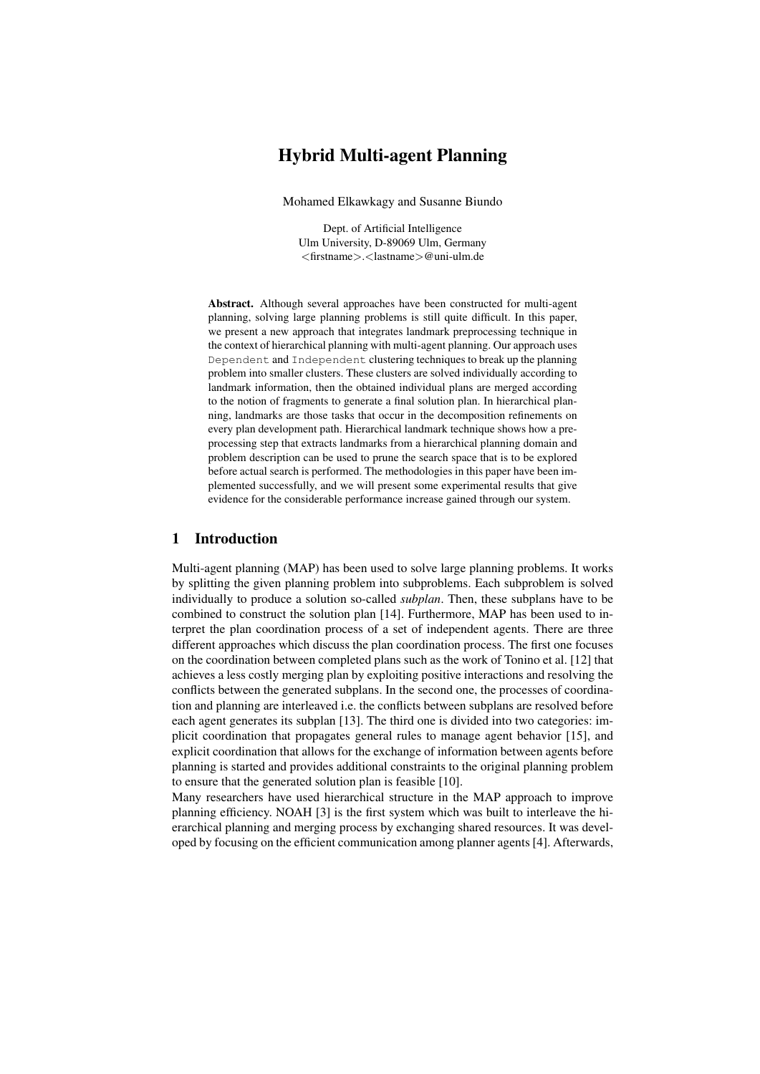# Hybrid Multi-agent Planning

Mohamed Elkawkagy and Susanne Biundo

Dept. of Artificial Intelligence Ulm University, D-89069 Ulm, Germany <firstname>.<lastname>@uni-ulm.de

Abstract. Although several approaches have been constructed for multi-agent planning, solving large planning problems is still quite difficult. In this paper, we present a new approach that integrates landmark preprocessing technique in the context of hierarchical planning with multi-agent planning. Our approach uses Dependent and Independent clustering techniques to break up the planning problem into smaller clusters. These clusters are solved individually according to landmark information, then the obtained individual plans are merged according to the notion of fragments to generate a final solution plan. In hierarchical planning, landmarks are those tasks that occur in the decomposition refinements on every plan development path. Hierarchical landmark technique shows how a preprocessing step that extracts landmarks from a hierarchical planning domain and problem description can be used to prune the search space that is to be explored before actual search is performed. The methodologies in this paper have been implemented successfully, and we will present some experimental results that give evidence for the considerable performance increase gained through our system.

## 1 Introduction

Multi-agent planning (MAP) has been used to solve large planning problems. It works by splitting the given planning problem into subproblems. Each subproblem is solved individually to produce a solution so-called *subplan*. Then, these subplans have to be combined to construct the solution plan [14]. Furthermore, MAP has been used to interpret the plan coordination process of a set of independent agents. There are three different approaches which discuss the plan coordination process. The first one focuses on the coordination between completed plans such as the work of Tonino et al. [12] that achieves a less costly merging plan by exploiting positive interactions and resolving the conflicts between the generated subplans. In the second one, the processes of coordination and planning are interleaved i.e. the conflicts between subplans are resolved before each agent generates its subplan [13]. The third one is divided into two categories: implicit coordination that propagates general rules to manage agent behavior [15], and explicit coordination that allows for the exchange of information between agents before planning is started and provides additional constraints to the original planning problem to ensure that the generated solution plan is feasible [10].

Many researchers have used hierarchical structure in the MAP approach to improve planning efficiency. NOAH [3] is the first system which was built to interleave the hierarchical planning and merging process by exchanging shared resources. It was developed by focusing on the efficient communication among planner agents [4]. Afterwards,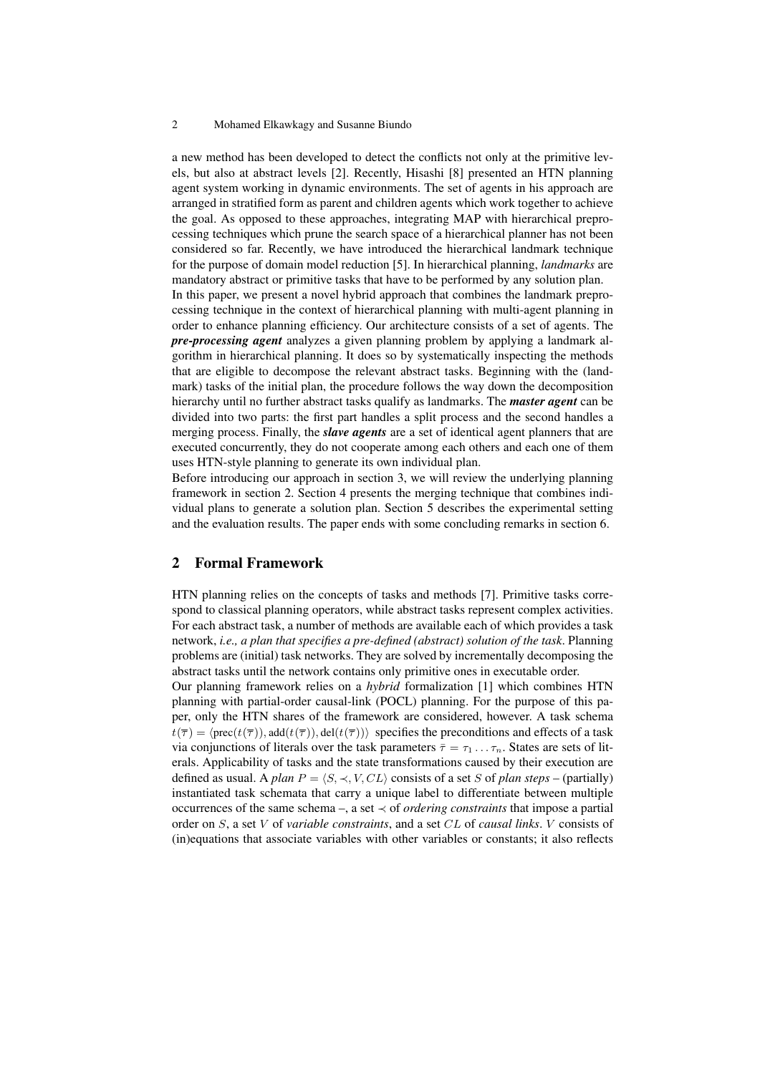a new method has been developed to detect the conflicts not only at the primitive levels, but also at abstract levels [2]. Recently, Hisashi [8] presented an HTN planning agent system working in dynamic environments. The set of agents in his approach are arranged in stratified form as parent and children agents which work together to achieve the goal. As opposed to these approaches, integrating MAP with hierarchical preprocessing techniques which prune the search space of a hierarchical planner has not been considered so far. Recently, we have introduced the hierarchical landmark technique for the purpose of domain model reduction [5]. In hierarchical planning, *landmarks* are mandatory abstract or primitive tasks that have to be performed by any solution plan. In this paper, we present a novel hybrid approach that combines the landmark preprocessing technique in the context of hierarchical planning with multi-agent planning in order to enhance planning efficiency. Our architecture consists of a set of agents. The *pre-processing agent* analyzes a given planning problem by applying a landmark algorithm in hierarchical planning. It does so by systematically inspecting the methods that are eligible to decompose the relevant abstract tasks. Beginning with the (landmark) tasks of the initial plan, the procedure follows the way down the decomposition hierarchy until no further abstract tasks qualify as landmarks. The *master agent* can be divided into two parts: the first part handles a split process and the second handles a merging process. Finally, the *slave agents* are a set of identical agent planners that are executed concurrently, they do not cooperate among each others and each one of them uses HTN-style planning to generate its own individual plan.

Before introducing our approach in section 3, we will review the underlying planning framework in section 2. Section 4 presents the merging technique that combines individual plans to generate a solution plan. Section 5 describes the experimental setting and the evaluation results. The paper ends with some concluding remarks in section 6.

### 2 Formal Framework

HTN planning relies on the concepts of tasks and methods [7]. Primitive tasks correspond to classical planning operators, while abstract tasks represent complex activities. For each abstract task, a number of methods are available each of which provides a task network, *i.e., a plan that specifies a pre-defined (abstract) solution of the task*. Planning problems are (initial) task networks. They are solved by incrementally decomposing the abstract tasks until the network contains only primitive ones in executable order. Our planning framework relies on a *hybrid* formalization [1] which combines HTN planning with partial-order causal-link (POCL) planning. For the purpose of this paper, only the HTN shares of the framework are considered, however. A task schema  $t(\overline{\tau}) = \langle \text{prec}(t(\overline{\tau})) , \text{add}(t(\overline{\tau})) , \text{del}(t(\overline{\tau})) \rangle$  specifies the preconditions and effects of a task via conjunctions of literals over the task parameters  $\bar{\tau} = \tau_1 \dots \tau_n$ . States are sets of literals. Applicability of tasks and the state transformations caused by their execution are defined as usual. A *plan*  $P = \langle S, \prec, V, CL \rangle$  consists of a set S of *plan steps* – (partially) instantiated task schemata that carry a unique label to differentiate between multiple occurrences of the same schema –, a set ≺ of *ordering constraints* that impose a partial order on S, a set V of *variable constraints*, and a set CL of *causal links*. V consists of (in)equations that associate variables with other variables or constants; it also reflects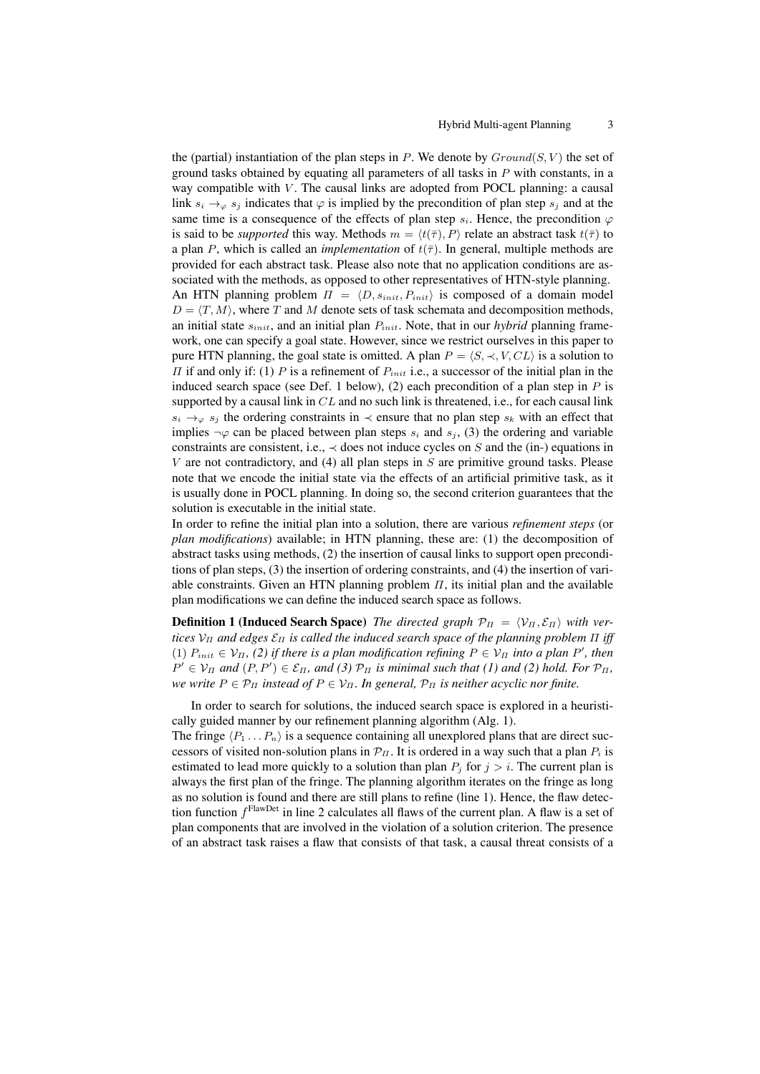the (partial) instantiation of the plan steps in P. We denote by  $Ground(S, V)$  the set of ground tasks obtained by equating all parameters of all tasks in  $P$  with constants, in a way compatible with  $V$ . The causal links are adopted from POCL planning: a causal link  $s_i \rightarrow_\varphi s_j$  indicates that  $\varphi$  is implied by the precondition of plan step  $s_j$  and at the same time is a consequence of the effects of plan step  $s_i$ . Hence, the precondition  $\varphi$ is said to be *supported* this way. Methods  $m = \langle t(\overline{\tau}), P \rangle$  relate an abstract task  $t(\overline{\tau})$  to a plan P, which is called an *implementation* of  $t(\overline{\tau})$ . In general, multiple methods are provided for each abstract task. Please also note that no application conditions are associated with the methods, as opposed to other representatives of HTN-style planning. An HTN planning problem  $\Pi = \langle D, s_{init}, P_{init} \rangle$  is composed of a domain model  $D = \langle T, M \rangle$ , where T and M denote sets of task schemata and decomposition methods, an initial state  $s_{init}$ , and an initial plan  $P_{init}$ . Note, that in our *hybrid* planning framework, one can specify a goal state. However, since we restrict ourselves in this paper to pure HTN planning, the goal state is omitted. A plan  $P = \langle S, \prec, V, CL \rangle$  is a solution to  $\Pi$  if and only if: (1) P is a refinement of  $P_{init}$  i.e., a successor of the initial plan in the induced search space (see Def. 1 below), (2) each precondition of a plan step in  $P$  is supported by a causal link in  $CL$  and no such link is threatened, i.e., for each causal link  $s_i \rightarrow_\varphi s_j$  the ordering constraints in  $\prec$  ensure that no plan step  $s_k$  with an effect that implies  $\neg \varphi$  can be placed between plan steps  $s_i$  and  $s_j$ , (3) the ordering and variable constraints are consistent, i.e.,  $\prec$  does not induce cycles on S and the (in-) equations in  $V$  are not contradictory, and (4) all plan steps in  $S$  are primitive ground tasks. Please note that we encode the initial state via the effects of an artificial primitive task, as it is usually done in POCL planning. In doing so, the second criterion guarantees that the solution is executable in the initial state.

In order to refine the initial plan into a solution, there are various *refinement steps* (or *plan modifications*) available; in HTN planning, these are: (1) the decomposition of abstract tasks using methods, (2) the insertion of causal links to support open preconditions of plan steps, (3) the insertion of ordering constraints, and (4) the insertion of variable constraints. Given an HTN planning problem  $\Pi$ , its initial plan and the available plan modifications we can define the induced search space as follows.

**Definition 1 (Induced Search Space)** *The directed graph*  $\mathcal{P}_{\Pi} = \langle \mathcal{V}_{\Pi}, \mathcal{E}_{\Pi} \rangle$  *with vertices*  $V_{\Pi}$  *and edges*  $\mathcal{E}_{\Pi}$  *is called the induced search space of the planning problem*  $\Pi$  *iff* (1)  $P_{init} \in V_{\Pi}$ , (2) if there is a plan modification refining  $P \in V_{\Pi}$  into a plan P', then  $P' \in V_{\Pi}$  and  $(P, P') \in \mathcal{E}_{\Pi}$ , and (3)  $\mathcal{P}_{\Pi}$  is minimal such that (1) and (2) hold. For  $\mathcal{P}_{\Pi}$ , *we write*  $P \in \mathcal{P}_{\Pi}$  *instead of*  $P \in \mathcal{V}_{\Pi}$ *. In general,*  $\mathcal{P}_{\Pi}$  *is neither acyclic nor finite.* 

In order to search for solutions, the induced search space is explored in a heuristically guided manner by our refinement planning algorithm (Alg. 1).

The fringe  $\langle P_1 \dots P_n \rangle$  is a sequence containing all unexplored plans that are direct successors of visited non-solution plans in  $\mathcal{P}_{\Pi}$ . It is ordered in a way such that a plan  $P_i$  is estimated to lead more quickly to a solution than plan  $P_i$  for  $j > i$ . The current plan is always the first plan of the fringe. The planning algorithm iterates on the fringe as long as no solution is found and there are still plans to refine (line 1). Hence, the flaw detection function  $f^{\text{FlawDet}}$  in line 2 calculates all flaws of the current plan. A flaw is a set of plan components that are involved in the violation of a solution criterion. The presence of an abstract task raises a flaw that consists of that task, a causal threat consists of a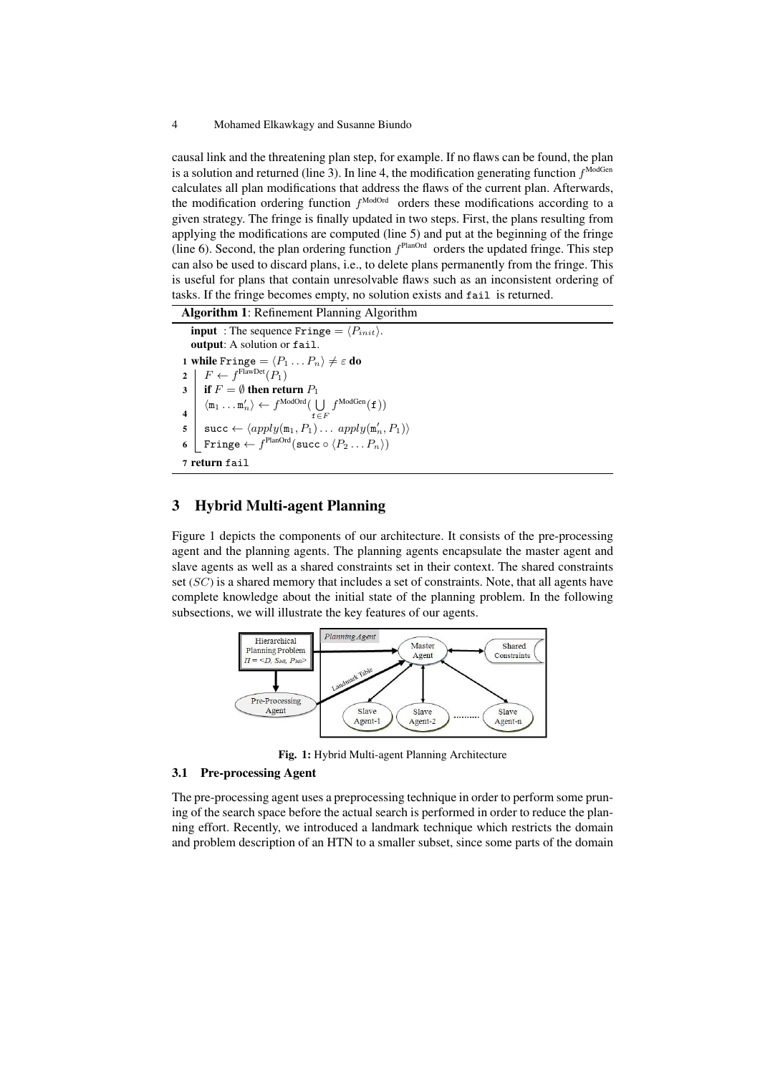causal link and the threatening plan step, for example. If no flaws can be found, the plan is a solution and returned (line 3). In line 4, the modification generating function  $f^{\text{ModGen}}$ calculates all plan modifications that address the flaws of the current plan. Afterwards, the modification ordering function  $f^{\text{ModOrd}}$  orders these modifications according to a given strategy. The fringe is finally updated in two steps. First, the plans resulting from applying the modifications are computed (line 5) and put at the beginning of the fringe (line 6). Second, the plan ordering function  $f<sup>PlanOrd</sup>$  orders the updated fringe. This step can also be used to discard plans, i.e., to delete plans permanently from the fringe. This is useful for plans that contain unresolvable flaws such as an inconsistent ordering of tasks. If the fringe becomes empty, no solution exists and fail is returned.

```
Algorithm 1: Refinement Planning Algorithm
   input : The sequence Fringe = \langle P_{init} \rangle.
  output: A solution or fail.
1 while Fringe =\langle P_1 \dots P_n \rangle \neq \varepsilon do
2 \mid F \leftarrow f^{\text{FlawDet}}(P_1)3 if F = \emptyset then return P_1\langle \mathfrak{m}_1 \dots \mathfrak{m}_n' \rangle \leftarrow f^{\text{ModOrd}}(\bigcup_{\mathtt{f} \in F} f^{\text{ModGen}}(\mathtt{f}))4
\mathsf{s} \; \mid \; \mathsf{succ} \gets \langle apply(\mathfrak{m}_1, P_1) \dots \; apply(\mathfrak{m}'_n, P_1) \rangleFringe ← f
PlanOrd 6 (succ ◦ hP2 . . . Pni)
7 return fail
```
## 3 Hybrid Multi-agent Planning

Figure 1 depicts the components of our architecture. It consists of the pre-processing agent and the planning agents. The planning agents encapsulate the master agent and slave agents as well as a shared constraints set in their context. The shared constraints set  $(SC)$  is a shared memory that includes a set of constraints. Note, that all agents have complete knowledge about the initial state of the planning problem. In the following subsections, we will illustrate the key features of our agents.



Fig. 1: Hybrid Multi-agent Planning Architecture

### 3.1 Pre-processing Agent

The pre-processing agent uses a preprocessing technique in order to perform some pruning of the search space before the actual search is performed in order to reduce the planning effort. Recently, we introduced a landmark technique which restricts the domain and problem description of an HTN to a smaller subset, since some parts of the domain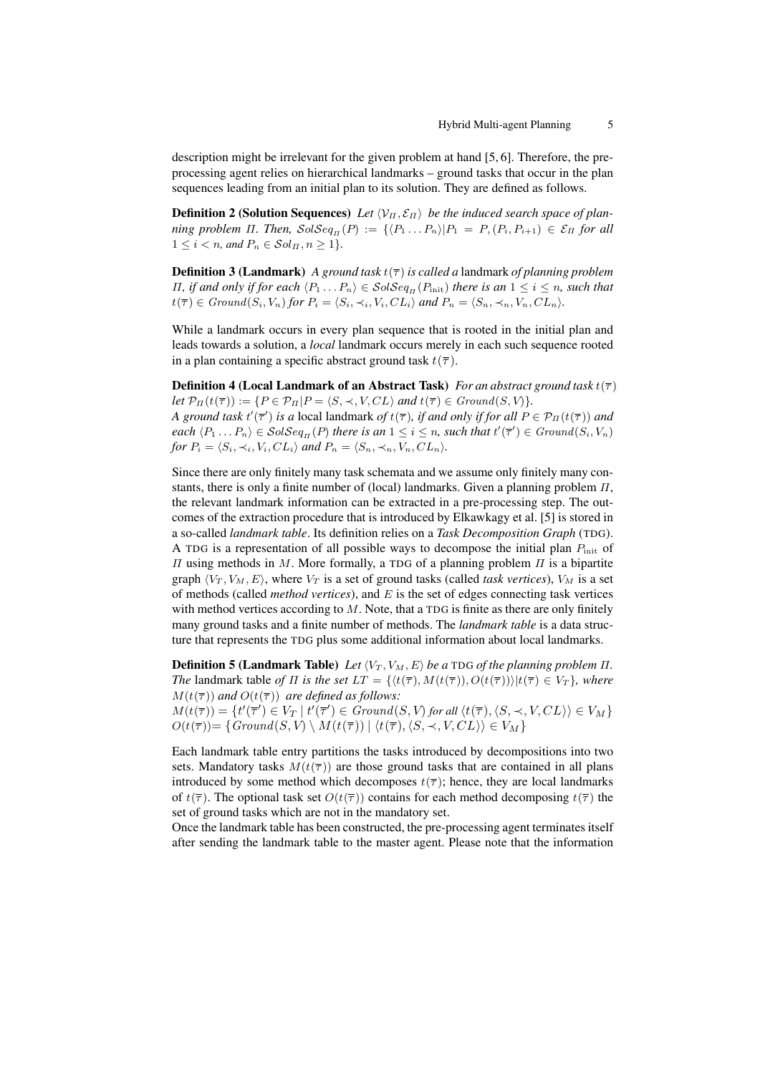description might be irrelevant for the given problem at hand [5, 6]. Therefore, the preprocessing agent relies on hierarchical landmarks – ground tasks that occur in the plan sequences leading from an initial plan to its solution. They are defined as follows.

**Definition 2 (Solution Sequences)** Let  $\langle V_{\Pi}, \mathcal{E}_{\Pi} \rangle$  be the induced search space of plan*ning problem*  $\Pi$ *. Then,*  $\mathcal{S}olSeq_{\Pi}(P) := \{ \langle P_1 \dots P_n \rangle | P_1 = P, (P_i, P_{i+1}) \in \mathcal{E}_{\Pi} \text{ for all }$  $1 \leq i < n$ , and  $P_n \in \mathcal{S}ol_{\Pi}, n \geq 1$ *}*.

**Definition 3 (Landmark)** *A ground task*  $t(\overline{\tau})$  *is called a landmark of planning problem*  $Π$ *, if and only if for each*  $\langle P_1 \dots P_n \rangle$  ∈ SolSe $q_π(P_{init})$  *there is an*  $1 ≤ i ≤ n$ *, such that*  $t(\overline{\tau}) \in \text{Ground}(S_i, V_n) \text{ for } P_i = \langle S_i, \prec_i, V_i, CL_i \rangle \text{ and } P_n = \langle S_n, \prec_n, V_n, CL_n \rangle.$ 

While a landmark occurs in every plan sequence that is rooted in the initial plan and leads towards a solution, a *local* landmark occurs merely in each such sequence rooted in a plan containing a specific abstract ground task  $t(\overline{\tau})$ .

**Definition 4 (Local Landmark of an Abstract Task)** *For an abstract ground task t*( $\overline{\tau}$ ) *let*  $\mathcal{P}_{\Pi}(t(\overline{\tau})) := \{ P \in \mathcal{P}_{\Pi} | P = \langle S, \prec, V, CL \rangle \text{ and } t(\overline{\tau}) \in \text{Ground}(S, V) \}.$ *A ground task*  $t'(\overline{\tau}')$  *is a* local landmark *of*  $t(\overline{\tau})$ *, if and only if for all*  $P \in \mathcal{P}_{\Pi}(t(\overline{\tau}))$  *and* 

 $each \langle P_1 ... P_n \rangle \in \mathcal{S}olSeq_{\Pi}(P)$  *there is an*  $1 \leq i \leq n$ *, such that*  $t'(\overline{\tau}') \in \mathcal{G}round(S_i, V_n)$ *for*  $P_i = \langle S_i, \prec_i, V_i, CL_i \rangle$  *and*  $P_n = \langle S_n, \prec_n, V_n, CL_n \rangle$ *.* 

Since there are only finitely many task schemata and we assume only finitely many constants, there is only a finite number of (local) landmarks. Given a planning problem  $\Pi$ , the relevant landmark information can be extracted in a pre-processing step. The outcomes of the extraction procedure that is introduced by Elkawkagy et al. [5] is stored in a so-called *landmark table*. Its definition relies on a *Task Decomposition Graph* (TDG). A TDG is a representation of all possible ways to decompose the initial plan  $P_{\text{init}}$  of  $\Pi$  using methods in  $M$ . More formally, a TDG of a planning problem  $\Pi$  is a bipartite graph  $\langle V_T, V_M, E \rangle$ , where  $V_T$  is a set of ground tasks (called *task vertices*),  $V_M$  is a set of methods (called *method vertices*), and E is the set of edges connecting task vertices with method vertices according to  $M$ . Note, that a TDG is finite as there are only finitely many ground tasks and a finite number of methods. The *landmark table* is a data structure that represents the TDG plus some additional information about local landmarks.

**Definition 5 (Landmark Table)** Let  $\langle V_T, V_M, E \rangle$  be a TDG of the planning problem  $\Pi$ . *The* landmark table *of*  $\Pi$  *is the set*  $LT = \{ \langle t(\overline{\tau}), M(t(\overline{\tau})), O(t(\overline{\tau})) \rangle | t(\overline{\tau}) \in V_T \}$ *, where*  $M(t(\overline{\tau}))$  *and*  $O(t(\overline{\tau}))$  *are defined as follows:*  $M(t(\overline{\tau})) = \{t'(\overline{\tau}') \in V_T \mid t'(\overline{\tau}') \in \text{Ground}(S, V) \text{ for all } \langle t(\overline{\tau}), \langle S, \prec, V, CL \rangle \rangle \in V_M\}$  $O(t(\overline{\tau})) = \{Ground(S, V) \setminus M(t(\overline{\tau})) \mid \langle t(\overline{\tau}), \langle S, \prec, V, CL \rangle \rangle \in V_M\}$ 

Each landmark table entry partitions the tasks introduced by decompositions into two sets. Mandatory tasks  $M(t(\overline{\tau}))$  are those ground tasks that are contained in all plans introduced by some method which decomposes  $t(\overline{\tau})$ ; hence, they are local landmarks of  $t(\overline{\tau})$ . The optional task set  $O(t(\overline{\tau}))$  contains for each method decomposing  $t(\overline{\tau})$  the set of ground tasks which are not in the mandatory set.

Once the landmark table has been constructed, the pre-processing agent terminates itself after sending the landmark table to the master agent. Please note that the information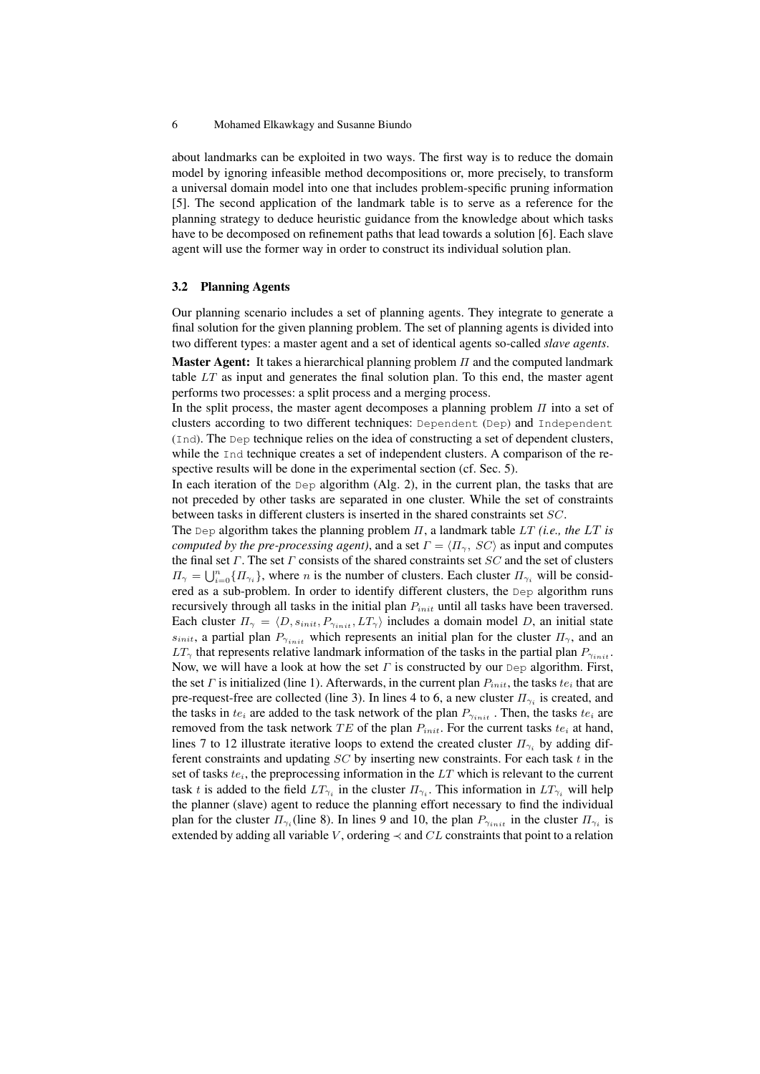about landmarks can be exploited in two ways. The first way is to reduce the domain model by ignoring infeasible method decompositions or, more precisely, to transform a universal domain model into one that includes problem-specific pruning information [5]. The second application of the landmark table is to serve as a reference for the planning strategy to deduce heuristic guidance from the knowledge about which tasks have to be decomposed on refinement paths that lead towards a solution [6]. Each slave agent will use the former way in order to construct its individual solution plan.

#### 3.2 Planning Agents

Our planning scenario includes a set of planning agents. They integrate to generate a final solution for the given planning problem. The set of planning agents is divided into two different types: a master agent and a set of identical agents so-called *slave agents*.

Master Agent: It takes a hierarchical planning problem  $\Pi$  and the computed landmark table LT as input and generates the final solution plan. To this end, the master agent performs two processes: a split process and a merging process.

In the split process, the master agent decomposes a planning problem  $\Pi$  into a set of clusters according to two different techniques: Dependent (Dep) and Independent (Ind). The Dep technique relies on the idea of constructing a set of dependent clusters, while the Ind technique creates a set of independent clusters. A comparison of the respective results will be done in the experimental section (cf. Sec. 5).

In each iteration of the Dep algorithm (Alg. 2), in the current plan, the tasks that are not preceded by other tasks are separated in one cluster. While the set of constraints between tasks in different clusters is inserted in the shared constraints set SC.

The Dep algorithm takes the planning problem  $\Pi$ , a landmark table LT *(i.e., the LT is computed by the pre-processing agent)*, and a set  $\Gamma = \langle \Pi_{\gamma}, \, SC \rangle$  as input and computes the final set  $\Gamma$ . The set  $\Gamma$  consists of the shared constraints set  $SC$  and the set of clusters  $\Pi_{\gamma} = \bigcup_{i=0}^{n} \{ \Pi_{\gamma_i} \}$ , where *n* is the number of clusters. Each cluster  $\Pi_{\gamma_i}$  will be considered as a sub-problem. In order to identify different clusters, the Dep algorithm runs recursively through all tasks in the initial plan  $P_{init}$  until all tasks have been traversed. Each cluster  $\Pi_{\gamma} = \langle D, s_{init}, P_{\gamma_{init}} , LT_{\gamma} \rangle$  includes a domain model D, an initial state  $s_{init}$ , a partial plan  $P_{Yinit}$  which represents an initial plan for the cluster  $\Pi_{\gamma}$ , and an  $LT_{\gamma}$  that represents relative landmark information of the tasks in the partial plan  $P_{\gamma_{init}}$ . Now, we will have a look at how the set  $\Gamma$  is constructed by our Dep algorithm. First, the set Γ is initialized (line 1). Afterwards, in the current plan  $P_{init}$ , the tasks  $te_i$  that are pre-request-free are collected (line 3). In lines 4 to 6, a new cluster  $\Pi_{\gamma_i}$  is created, and the tasks in te<sub>i</sub> are added to the task network of the plan  $P_{\gamma_{init}}$ . Then, the tasks te<sub>i</sub> are removed from the task network  $TE$  of the plan  $P_{init}$ . For the current tasks  $te_i$  at hand, lines 7 to 12 illustrate iterative loops to extend the created cluster  $\Pi_{\gamma_i}$  by adding different constraints and updating  $SC$  by inserting new constraints. For each task  $t$  in the set of tasks  $te_i$ , the preprocessing information in the  $LT$  which is relevant to the current task t is added to the field  $LT_{\gamma_i}$  in the cluster  $\Pi_{\gamma_i}$ . This information in  $LT_{\gamma_i}$  will help the planner (slave) agent to reduce the planning effort necessary to find the individual plan for the cluster  $\Pi_{\gamma_i}$ (line 8). In lines 9 and 10, the plan  $P_{\gamma_{init}}$  in the cluster  $\Pi_{\gamma_i}$  is extended by adding all variable V, ordering  $\prec$  and  $CL$  constraints that point to a relation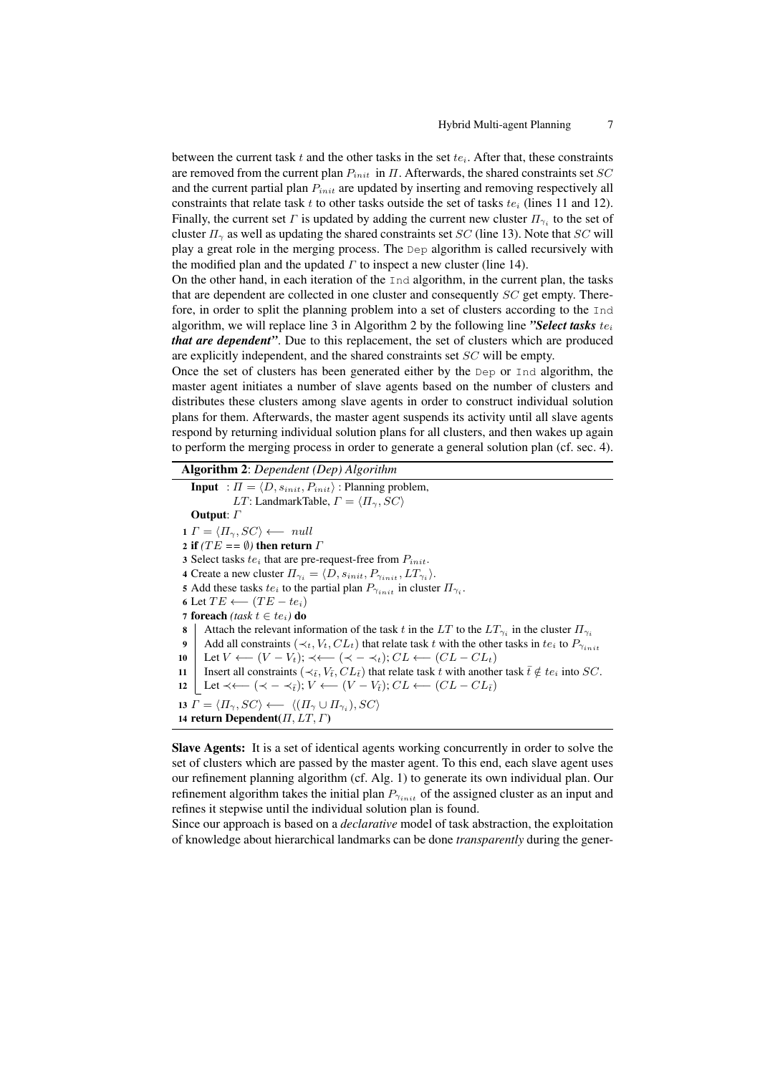between the current task t and the other tasks in the set  $te_i$ . After that, these constraints are removed from the current plan  $P_{init}$  in  $\Pi$ . Afterwards, the shared constraints set SC and the current partial plan  $P_{init}$  are updated by inserting and removing respectively all constraints that relate task t to other tasks outside the set of tasks  $te_i$  (lines 11 and 12). Finally, the current set  $\Gamma$  is updated by adding the current new cluster  $\Pi_{\gamma_i}$  to the set of cluster  $\Pi_{\gamma}$  as well as updating the shared constraints set SC (line 13). Note that SC will play a great role in the merging process. The Dep algorithm is called recursively with the modified plan and the updated  $\Gamma$  to inspect a new cluster (line 14).

On the other hand, in each iteration of the  $Indi$  algorithm, in the current plan, the tasks that are dependent are collected in one cluster and consequently SC get empty. Therefore, in order to split the planning problem into a set of clusters according to the Ind algorithm, we will replace line 3 in Algorithm 2 by the following line *"Select tasks*  $te_i$ *that are dependent*". Due to this replacement, the set of clusters which are produced are explicitly independent, and the shared constraints set SC will be empty.

Once the set of clusters has been generated either by the Dep or Ind algorithm, the master agent initiates a number of slave agents based on the number of clusters and distributes these clusters among slave agents in order to construct individual solution plans for them. Afterwards, the master agent suspends its activity until all slave agents respond by returning individual solution plans for all clusters, and then wakes up again to perform the merging process in order to generate a general solution plan (cf. sec. 4).

Algorithm 2: *Dependent (Dep) Algorithm* **Input** :  $\Pi = \langle D, s_{init}, P_{init} \rangle$ : Planning problem, LT: LandmarkTable,  $\Gamma = \langle \Pi_{\gamma}, SC \rangle$ Output: Γ  $1 \Gamma = \langle \Pi_{\gamma}, SC \rangle \longleftarrow null$ 2 if  $(TE == \emptyset)$  then return  $\Gamma$ 3 Select tasks  $te_i$  that are pre-request-free from  $P_{init}$ . 4 Create a new cluster  $\Pi_{\gamma_i} = \langle D, s_{init}, P_{\gamma_{init}}, LT_{\gamma_i} \rangle$ . 5 Add these tasks  $te_i$  to the partial plan  $P_{\gamma_{init}}$  in cluster  $\Pi_{\gamma_i}$ . 6 Let  $TE \longleftarrow (TE - te_i)$ 7 foreach  $(task t \in te_i)$  do Attach the relevant information of the task t in the LT to the  $LT_{\gamma_i}$  in the cluster  $\Pi_{\gamma_i}$ 8 Add all constraints  $(\prec_t, V_t, CL_t)$  that relate task t with the other tasks in te<sub>i</sub> to  $P_{\gamma_{init}}$ 10 Let  $V \leftarrow (V - V_t); \prec \leftarrow (\prec - \prec_t); CL \leftarrow (CL - CL_t)$ 11 Insert all constraints ( $\prec_{\bar{t}} V_{\bar{t}}$ ,  $CL_{\bar{t}}$ ) that relate task t with another task  $\bar{t} \notin te_i$  into SC. 12 Let  $\prec \leftarrow (\prec - \prec_{\bar{t}}); V \leftarrow (V - V_{\bar{t}}); CL \leftarrow (CL - CL_{\bar{t}})$ 13  $\Gamma = \langle \Pi_\gamma, SC \rangle \longleftarrow \langle (\Pi_\gamma \cup \Pi_{\gamma_i}), SC \rangle$ 14 return Dependent $(\Pi, LT, \Gamma)$ 

Slave Agents: It is a set of identical agents working concurrently in order to solve the set of clusters which are passed by the master agent. To this end, each slave agent uses our refinement planning algorithm (cf. Alg. 1) to generate its own individual plan. Our refinement algorithm takes the initial plan  $P_{\gamma_{init}}$  of the assigned cluster as an input and refines it stepwise until the individual solution plan is found.

Since our approach is based on a *declarative* model of task abstraction, the exploitation of knowledge about hierarchical landmarks can be done *transparently* during the gener-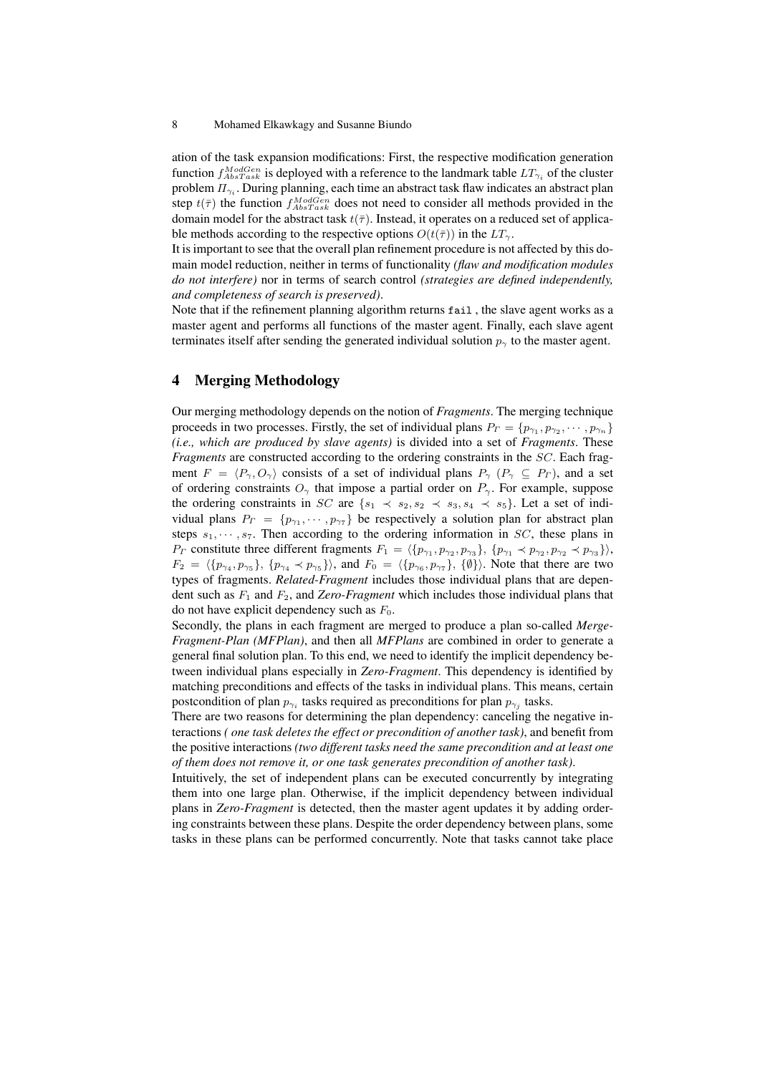ation of the task expansion modifications: First, the respective modification generation function  $f_{AbsTask}^{ModGen}$  is deployed with a reference to the landmark table  $LT_{\gamma_i}$  of the cluster problem  $\Pi_{\gamma_i}$ . During planning, each time an abstract task flaw indicates an abstract plan step  $t(\bar{\tau})$  the function  $f_{AbsTask}^{ModGen}$  does not need to consider all methods provided in the domain model for the abstract task  $t(\bar{\tau})$ . Instead, it operates on a reduced set of applicable methods according to the respective options  $O(t(\bar{\tau}))$  in the  $LT_{\gamma}$ .

It is important to see that the overall plan refinement procedure is not affected by this domain model reduction, neither in terms of functionality *(flaw and modification modules do not interfere)* nor in terms of search control *(strategies are defined independently, and completeness of search is preserved)*.

Note that if the refinement planning algorithm returns fail , the slave agent works as a master agent and performs all functions of the master agent. Finally, each slave agent terminates itself after sending the generated individual solution  $p_{\gamma}$  to the master agent.

# 4 Merging Methodology

Our merging methodology depends on the notion of *Fragments*. The merging technique proceeds in two processes. Firstly, the set of individual plans  $P_T = \{p_{\gamma_1}, p_{\gamma_2}, \dots, p_{\gamma_n}\}\$ *(i.e., which are produced by slave agents)* is divided into a set of *Fragments*. These *Fragments* are constructed according to the ordering constraints in the SC. Each fragment  $F = \langle P_{\gamma}, O_{\gamma} \rangle$  consists of a set of individual plans  $P_{\gamma}$  ( $P_{\gamma} \subseteq P_{\gamma}$ ), and a set of ordering constraints  $O_{\gamma}$  that impose a partial order on  $P_{\gamma}$ . For example, suppose the ordering constraints in SC are  $\{s_1 \prec s_2, s_2 \prec s_3, s_4 \prec s_5\}$ . Let a set of individual plans  $P_{\Gamma} = \{p_{\gamma_1}, \cdots, p_{\gamma_7}\}\$  be respectively a solution plan for abstract plan steps  $s_1, \dots, s_7$ . Then according to the ordering information in SC, these plans in  $P_T$  constitute three different fragments  $F_1 = \langle \{p_{\gamma_1}, p_{\gamma_2}, p_{\gamma_3}\}, \{p_{\gamma_1} \prec p_{\gamma_2}, p_{\gamma_2} \prec p_{\gamma_3}\} \rangle$  $F_2 = \langle \{p_{\gamma_4}, p_{\gamma_5}\}, \{p_{\gamma_4} \prec p_{\gamma_5}\}\rangle$ , and  $F_0 = \langle \{p_{\gamma_6}, p_{\gamma_7}\}, \{\emptyset\}\rangle$ . Note that there are two types of fragments. *Related-Fragment* includes those individual plans that are dependent such as F<sup>1</sup> and F2, and *Zero-Fragment* which includes those individual plans that do not have explicit dependency such as  $F_0$ .

Secondly, the plans in each fragment are merged to produce a plan so-called *Merge-Fragment-Plan (MFPlan)*, and then all *MFPlans* are combined in order to generate a general final solution plan. To this end, we need to identify the implicit dependency between individual plans especially in *Zero-Fragment*. This dependency is identified by matching preconditions and effects of the tasks in individual plans. This means, certain postcondition of plan  $p_{\gamma_i}$  tasks required as preconditions for plan  $p_{\gamma_j}$  tasks.

There are two reasons for determining the plan dependency: canceling the negative interactions *( one task deletes the effect or precondition of another task)*, and benefit from the positive interactions *(two different tasks need the same precondition and at least one of them does not remove it, or one task generates precondition of another task)*.

Intuitively, the set of independent plans can be executed concurrently by integrating them into one large plan. Otherwise, if the implicit dependency between individual plans in *Zero-Fragment* is detected, then the master agent updates it by adding ordering constraints between these plans. Despite the order dependency between plans, some tasks in these plans can be performed concurrently. Note that tasks cannot take place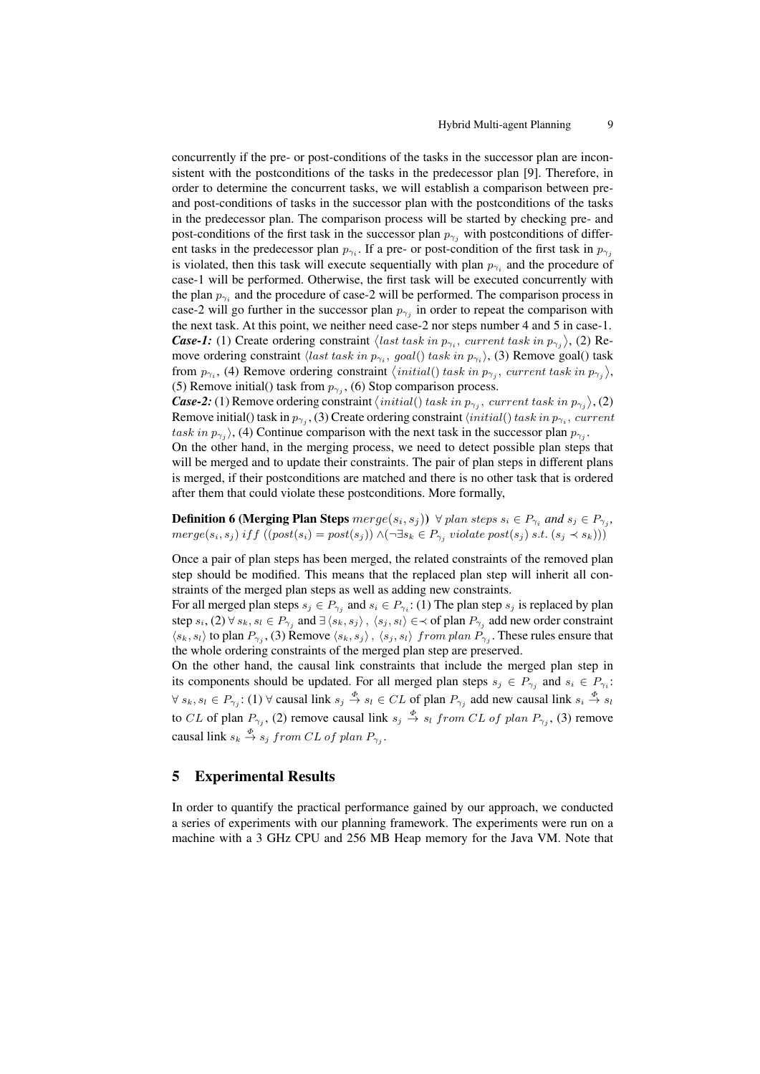concurrently if the pre- or post-conditions of the tasks in the successor plan are inconsistent with the postconditions of the tasks in the predecessor plan [9]. Therefore, in order to determine the concurrent tasks, we will establish a comparison between preand post-conditions of tasks in the successor plan with the postconditions of the tasks in the predecessor plan. The comparison process will be started by checking pre- and post-conditions of the first task in the successor plan  $p_{\gamma_i}$  with postconditions of different tasks in the predecessor plan  $p_{\gamma_i}$ . If a pre- or post-condition of the first task in  $p_{\gamma_j}$ is violated, then this task will execute sequentially with plan  $p_{\gamma_i}$  and the procedure of case-1 will be performed. Otherwise, the first task will be executed concurrently with the plan  $p_{\gamma_i}$  and the procedure of case-2 will be performed. The comparison process in case-2 will go further in the successor plan  $p_{\gamma_j}$  in order to repeat the comparison with the next task. At this point, we neither need case-2 nor steps number 4 and 5 in case-1. *Case-1*: (1) Create ordering constraint  $\langle$  last task in  $p_{\gamma_i}$ , current task in  $p_{\gamma_j}$ , (2) Remove ordering constraint  $\langle last\; task\; in\; p_{\gamma_i},\; goal() \; task\; in\; p_{\gamma_i} \rangle$ , (3) Remove goal() task from  $p_{\gamma_i}$ , (4) Remove ordering constraint  $\langle initial()$  task in  $p_{\gamma_j}$ , current task in  $p_{\gamma_j}$ ), (5) Remove initial() task from  $p_{\gamma_j}$ , (6) Stop comparison process.

*Case-2:* (1) Remove ordering constraint  $\langle initial()$  task in  $p_{\gamma_j}$ , current task in  $p_{\gamma_j}$ ), (2) Remove initial() task in  $p_{\gamma_j}$ , (3) Create ordering constraint  $\langle initial()$  task in  $p_{\gamma_i}$ , current task in  $p_{\gamma_j}$ , (4) Continue comparison with the next task in the successor plan  $p_{\gamma_j}$ .

On the other hand, in the merging process, we need to detect possible plan steps that will be merged and to update their constraints. The pair of plan steps in different plans is merged, if their postconditions are matched and there is no other task that is ordered after them that could violate these postconditions. More formally,

**Definition 6 (Merging Plan Steps**  $merge(s_i, s_j))$   $\forall$   $plan\ steps\ s_i \in P_{\gamma_i}$  and  $s_j \in P_{\gamma_j}$ ,  $merge(s_i, s_j)$  if  $f((post(s_i) = post(s_j)) \land (\neg \exists s_k \in P_{\gamma_j} \; violate \; post(s_j) \; s.t. \; (s_j \prec s_k)))$ 

Once a pair of plan steps has been merged, the related constraints of the removed plan step should be modified. This means that the replaced plan step will inherit all constraints of the merged plan steps as well as adding new constraints.

For all merged plan steps  $s_j \in P_{\gamma_j}$  and  $s_i \in P_{\gamma_i}$ : (1) The plan step  $s_j$  is replaced by plan step  $s_i$ ,  $(2) \forall s_k, s_l \in P_{\gamma_j}$  and  $\exists \langle s_k, s_j \rangle$ ,  $\langle s_j, s_l \rangle \in \prec$  of plan  $P_{\gamma_j}$  add new order constraint  $\langle s_k, s_l \rangle$  to plan  $P_{\gamma_j}$ , (3) Remove  $\langle s_k, s_j \rangle$ ,  $\langle s_j, s_l \rangle$  from plan  $P_{\gamma_j}$ . These rules ensure that the whole ordering constraints of the merged plan step are preserved.

On the other hand, the causal link constraints that include the merged plan step in its components should be updated. For all merged plan steps  $s_j \in P_{\gamma_j}$  and  $s_i \in P_{\gamma_i}$ :  $\forall s_k, s_l \in P_{\gamma_j}: (1)$   $\forall$  causal link  $s_j \stackrel{\Phi}{\to} s_l \in CL$  of plan  $P_{\gamma_j}$  add new causal link  $s_i \stackrel{\Phi}{\to} s_l$ to CL of plan  $P_{\gamma_j}$ , (2) remove causal link  $s_j \stackrel{\Phi}{\to} s_l$  from CL of plan  $P_{\gamma_j}$ , (3) remove causal link  $s_k \stackrel{\Phi}{\rightarrow} s_j$  from CL of plan  $P_{\gamma_j}$ .

### 5 Experimental Results

In order to quantify the practical performance gained by our approach, we conducted a series of experiments with our planning framework. The experiments were run on a machine with a 3 GHz CPU and 256 MB Heap memory for the Java VM. Note that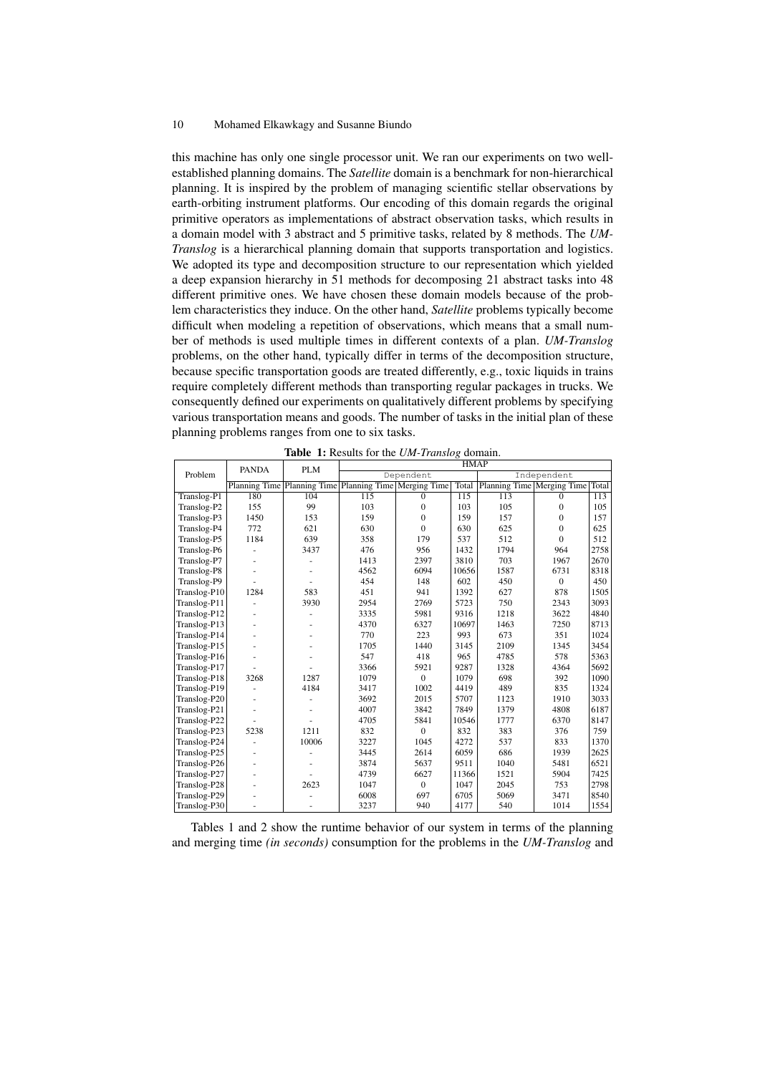this machine has only one single processor unit. We ran our experiments on two wellestablished planning domains. The *Satellite* domain is a benchmark for non-hierarchical planning. It is inspired by the problem of managing scientific stellar observations by earth-orbiting instrument platforms. Our encoding of this domain regards the original primitive operators as implementations of abstract observation tasks, which results in a domain model with 3 abstract and 5 primitive tasks, related by 8 methods. The *UM-Translog* is a hierarchical planning domain that supports transportation and logistics. We adopted its type and decomposition structure to our representation which yielded a deep expansion hierarchy in 51 methods for decomposing 21 abstract tasks into 48 different primitive ones. We have chosen these domain models because of the problem characteristics they induce. On the other hand, *Satellite* problems typically become difficult when modeling a repetition of observations, which means that a small number of methods is used multiple times in different contexts of a plan. *UM-Translog* problems, on the other hand, typically differ in terms of the decomposition structure, because specific transportation goods are treated differently, e.g., toxic liquids in trains require completely different methods than transporting regular packages in trucks. We consequently defined our experiments on qualitatively different problems by specifying various transportation means and goods. The number of tasks in the initial plan of these planning problems ranges from one to six tasks.

| Problem      | <b>PANDA</b> | <b>PLM</b>                                             | <b>HMAP</b> |              |       |                              |                |                  |
|--------------|--------------|--------------------------------------------------------|-------------|--------------|-------|------------------------------|----------------|------------------|
|              |              |                                                        | Dependent   |              |       | Independent                  |                |                  |
|              |              | Planning Time Planning Time Planning Time Merging Time |             |              | Total | Planning Time   Merging Time |                | <b>Total</b>     |
| Translog-P1  | 180          | 104                                                    | 115         | $\Omega$     | 115   | 113                          | $\Omega$       | $\overline{113}$ |
| Translog-P2  | 155          | 99                                                     | 103         | $\Omega$     | 103   | 105                          | $\mathbf{0}$   | 105              |
| Translog-P3  | 1450         | 153                                                    | 159         | $\Omega$     | 159   | 157                          | $\mathbf{0}$   | 157              |
| Translog-P4  | 772          | 621                                                    | 630         | $\Omega$     | 630   | 625                          | $\overline{0}$ | 625              |
| Translog-P5  | 1184         | 639                                                    | 358         | 179          | 537   | 512                          | $\overline{0}$ | 512              |
| Translog-P6  |              | 3437                                                   | 476         | 956          | 1432  | 1794                         | 964            | 2758             |
| Translog-P7  | ٠            |                                                        | 1413        | 2397         | 3810  | 703                          | 1967           | 2670             |
| Translog-P8  |              |                                                        | 4562        | 6094         | 10656 | 1587                         | 6731           | 8318             |
| Translog-P9  |              |                                                        | 454         | 148          | 602   | 450                          | $\overline{0}$ | 450              |
| Translog-P10 | 1284         | 583                                                    | 451         | 941          | 1392  | 627                          | 878            | 1505             |
| Translog-P11 |              | 3930                                                   | 2954        | 2769         | 5723  | 750                          | 2343           | 3093             |
| Translog-P12 |              |                                                        | 3335        | 5981         | 9316  | 1218                         | 3622           | 4840             |
| Translog-P13 |              |                                                        | 4370        | 6327         | 10697 | 1463                         | 7250           | 8713             |
| Translog-P14 |              |                                                        | 770         | 223          | 993   | 673                          | 351            | 1024             |
| Translog-P15 |              |                                                        | 1705        | 1440         | 3145  | 2109                         | 1345           | 3454             |
| Translog-P16 |              |                                                        | 547         | 418          | 965   | 4785                         | 578            | 5363             |
| Translog-P17 |              |                                                        | 3366        | 5921         | 9287  | 1328                         | 4364           | 5692             |
| Translog-P18 | 3268         | 1287                                                   | 1079        | $\mathbf{0}$ | 1079  | 698                          | 392            | 1090             |
| Translog-P19 |              | 4184                                                   | 3417        | 1002         | 4419  | 489                          | 835            | 1324             |
| Translog-P20 |              |                                                        | 3692        | 2015         | 5707  | 1123                         | 1910           | 3033             |
| Translog-P21 |              |                                                        | 4007        | 3842         | 7849  | 1379                         | 4808           | 6187             |
| Translog-P22 |              |                                                        | 4705        | 5841         | 10546 | 1777                         | 6370           | 8147             |
| Translog-P23 | 5238         | 1211                                                   | 832         | $\mathbf{0}$ | 832   | 383                          | 376            | 759              |
| Translog-P24 |              | 10006                                                  | 3227        | 1045         | 4272  | 537                          | 833            | 1370             |
| Translog-P25 | ÷,           |                                                        | 3445        | 2614         | 6059  | 686                          | 1939           | 2625             |
| Translog-P26 |              |                                                        | 3874        | 5637         | 9511  | 1040                         | 5481           | 6521             |
| Translog-P27 |              |                                                        | 4739        | 6627         | 11366 | 1521                         | 5904           | 7425             |
| Translog-P28 |              | 2623                                                   | 1047        | $\mathbf{0}$ | 1047  | 2045                         | 753            | 2798             |
| Translog-P29 |              |                                                        | 6008        | 697          | 6705  | 5069                         | 3471           | 8540             |
| Translog-P30 |              |                                                        | 3237        | 940          | 4177  | 540                          | 1014           | 1554             |

Table 1: Results for the *UM-Translog* domain.

Tables 1 and 2 show the runtime behavior of our system in terms of the planning and merging time *(in seconds)* consumption for the problems in the *UM-Translog* and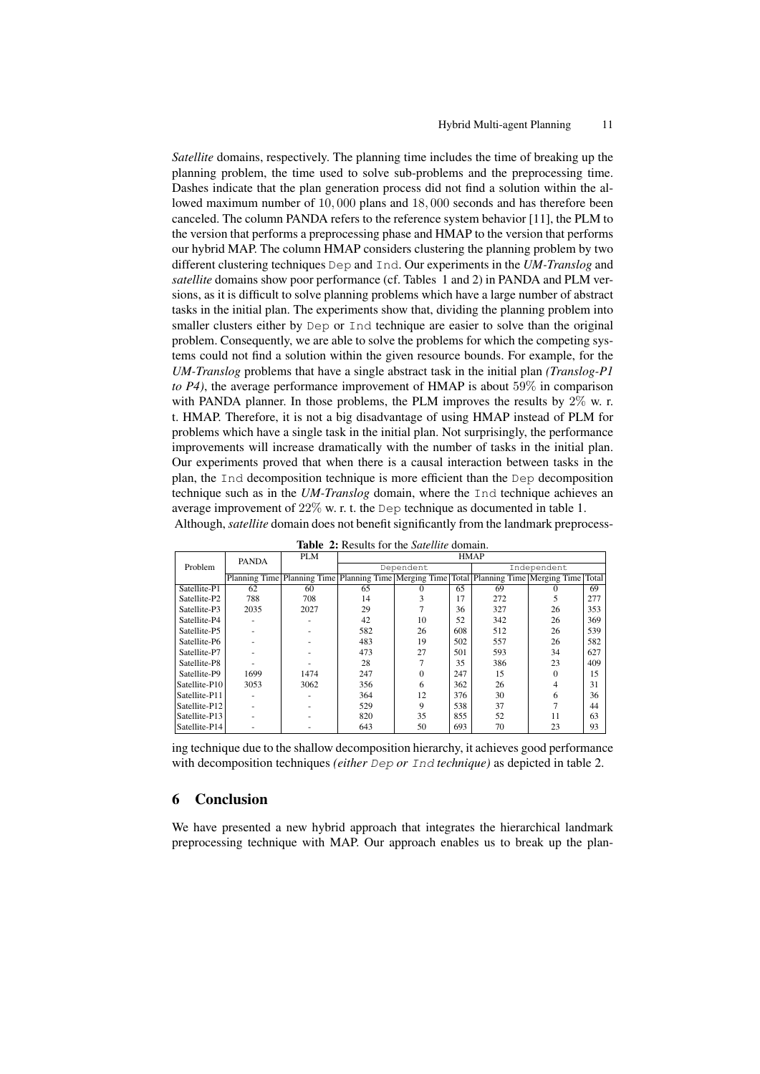*Satellite* domains, respectively. The planning time includes the time of breaking up the planning problem, the time used to solve sub-problems and the preprocessing time. Dashes indicate that the plan generation process did not find a solution within the allowed maximum number of 10, 000 plans and 18, 000 seconds and has therefore been canceled. The column PANDA refers to the reference system behavior [11], the PLM to the version that performs a preprocessing phase and HMAP to the version that performs our hybrid MAP. The column HMAP considers clustering the planning problem by two different clustering techniques Dep and Ind. Our experiments in the *UM-Translog* and *satellite* domains show poor performance (cf. Tables 1 and 2) in PANDA and PLM versions, as it is difficult to solve planning problems which have a large number of abstract tasks in the initial plan. The experiments show that, dividing the planning problem into smaller clusters either by Dep or Ind technique are easier to solve than the original problem. Consequently, we are able to solve the problems for which the competing systems could not find a solution within the given resource bounds. For example, for the *UM-Translog* problems that have a single abstract task in the initial plan *(Translog-P1 to P4)*, the average performance improvement of HMAP is about 59% in comparison with PANDA planner. In those problems, the PLM improves the results by  $2\%$  w. r. t. HMAP. Therefore, it is not a big disadvantage of using HMAP instead of PLM for problems which have a single task in the initial plan. Not surprisingly, the performance improvements will increase dramatically with the number of tasks in the initial plan. Our experiments proved that when there is a causal interaction between tasks in the plan, the Ind decomposition technique is more efficient than the Dep decomposition technique such as in the *UM-Translog* domain, where the Ind technique achieves an average improvement of  $22\%$  w. r. t. the Dep technique as documented in table 1. Although, *satellite* domain does not benefit significantly from the landmark preprocess-

|               | <b>PANDA</b> | <b>PLM</b> | <b>HMAP</b> |    |     |                                                                                               |          |     |  |  |  |
|---------------|--------------|------------|-------------|----|-----|-----------------------------------------------------------------------------------------------|----------|-----|--|--|--|
| Problem       |              |            | Dependent   |    |     | Independent                                                                                   |          |     |  |  |  |
|               |              |            |             |    |     | Planning Time Planning Time Planning Time Merging Time Total Planning Time Merging Time Total |          |     |  |  |  |
| Satellite-P1  | 62           | 60         | 65          |    | 65  | 69                                                                                            | $^{(1)}$ | 69  |  |  |  |
| Satellite-P2  | 788          | 708        | 14          |    | 17  | 272                                                                                           | 5        | 277 |  |  |  |
| Satellite-P3  | 2035         | 2027       | 29          |    | 36  | 327                                                                                           | 26       | 353 |  |  |  |
| Satellite-P4  |              |            | 42          | 10 | 52  | 342                                                                                           | 26       | 369 |  |  |  |
| Satellite-P5  |              |            | 582         | 26 | 608 | 512                                                                                           | 26       | 539 |  |  |  |
| Satellite-P6  |              |            | 483         | 19 | 502 | 557                                                                                           | 26       | 582 |  |  |  |
| Satellite-P7  |              |            | 473         | 27 | 501 | 593                                                                                           | 34       | 627 |  |  |  |
| Satellite-P8  |              |            | 28          |    | 35  | 386                                                                                           | 23       | 409 |  |  |  |
| Satellite-P9  | 1699         | 1474       | 247         |    | 247 | 15                                                                                            | 0        | 15  |  |  |  |
| Satellite-P10 | 3053         | 3062       | 356         | 6  | 362 | 26                                                                                            |          | 31  |  |  |  |
| Satellite-P11 |              |            | 364         | 12 | 376 | 30                                                                                            | 6        | 36  |  |  |  |
| Satellite-P12 |              |            | 529         | 9  | 538 | 37                                                                                            |          | 44  |  |  |  |
| Satellite-P13 |              |            | 820         | 35 | 855 | 52                                                                                            | 11       | 63  |  |  |  |
| Satellite-P14 |              |            | 643         | 50 | 693 | 70                                                                                            | 23       | 93  |  |  |  |

Table 2: Results for the *Satellite* domain.

ing technique due to the shallow decomposition hierarchy, it achieves good performance with decomposition techniques *(either* Dep *or* Ind *technique)* as depicted in table 2.

### 6 Conclusion

We have presented a new hybrid approach that integrates the hierarchical landmark preprocessing technique with MAP. Our approach enables us to break up the plan-